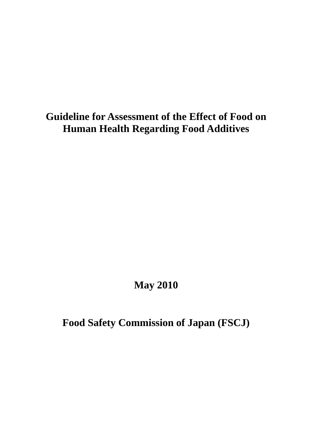# **Guideline for Assessment of the Effect of Food on Human Health Regarding Food Additives**

# **May 2010**

**Food Safety Commission of Japan (FSCJ)**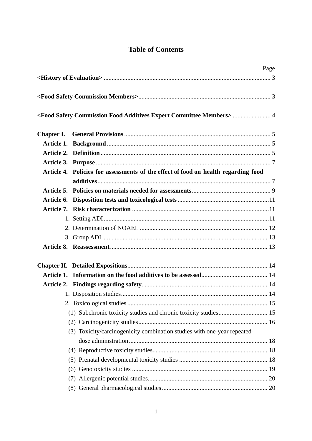# **Table of Contents**

|                                                                                                 | Page |
|-------------------------------------------------------------------------------------------------|------|
|                                                                                                 |      |
|                                                                                                 |      |
| <food additives="" commission="" committee="" expert="" food="" members="" safety="">  4</food> |      |
|                                                                                                 |      |
|                                                                                                 |      |
|                                                                                                 |      |
|                                                                                                 |      |
| Article 4. Policies for assessments of the effect of food on health regarding food              |      |
|                                                                                                 |      |
|                                                                                                 |      |
|                                                                                                 |      |
|                                                                                                 |      |
|                                                                                                 |      |
|                                                                                                 |      |
|                                                                                                 |      |
|                                                                                                 |      |
|                                                                                                 |      |
|                                                                                                 |      |
|                                                                                                 |      |
|                                                                                                 |      |
|                                                                                                 |      |
|                                                                                                 |      |
|                                                                                                 |      |
| (3) Toxicity/carcinogenicity combination studies with one-year repeated-                        |      |
|                                                                                                 |      |
|                                                                                                 |      |
|                                                                                                 |      |
|                                                                                                 |      |
|                                                                                                 |      |
|                                                                                                 |      |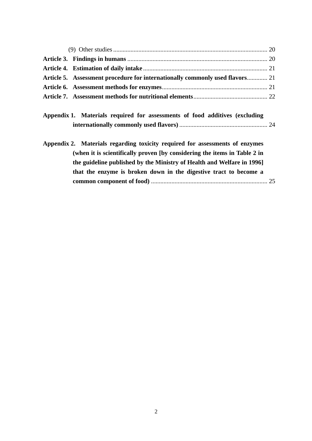| Article 5. Assessment procedure for internationally commonly used flavors 21 |  |
|------------------------------------------------------------------------------|--|
|                                                                              |  |
|                                                                              |  |
| Appendix 1. Materials required for assessments of food additives (excluding  |  |
| Appendix 2. Materials regarding toxicity required for assessments of enzymes |  |
| (when it is scientifically proven [by considering the items in Table 2 in    |  |
| the guideline published by the Ministry of Health and Welfare in 1996]       |  |
| that the enzyme is broken down in the digestive tract to become a            |  |
|                                                                              |  |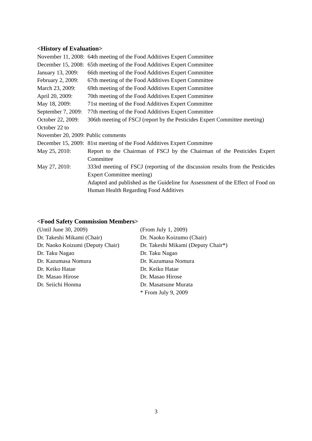## **<History of Evaluation>**

|                                    | November 11, 2008: 64th meeting of the Food Additives Expert Committee         |
|------------------------------------|--------------------------------------------------------------------------------|
|                                    | December 15, 2008: 65th meeting of the Food Additives Expert Committee         |
| January 13, 2009:                  | 66th meeting of the Food Additives Expert Committee                            |
| February 2, 2009:                  | 67th meeting of the Food Additives Expert Committee                            |
| March 23, 2009:                    | 69th meeting of the Food Additives Expert Committee                            |
| April 20, 2009:                    | 70th meeting of the Food Additives Expert Committee                            |
| May 18, 2009:                      | 71st meeting of the Food Additives Expert Committee                            |
| September 7, 2009:                 | 77th meeting of the Food Additives Expert Committee                            |
| October 22, 2009:                  | 306th meeting of FSCJ (report by the Pesticides Expert Committee meeting)      |
| October 22 to                      |                                                                                |
| November 20, 2009: Public comments |                                                                                |
|                                    | December 15, 2009: 81st meeting of the Food Additives Expert Committee         |
| May 25, 2010:                      | Report to the Chairman of FSCJ by the Chairman of the Pesticides Expert        |
|                                    | Committee                                                                      |
| May 27, 2010:                      | 333rd meeting of FSCJ (reporting of the discussion results from the Pesticides |
|                                    | <b>Expert Committee meeting)</b>                                               |
|                                    | Adapted and published as the Guideline for Assessment of the Effect of Food on |
|                                    | Human Health Regarding Food Additives                                          |
|                                    |                                                                                |

# **<Food Safety Commission Members>**

| (Until June 30, 2009)            | (From July 1, 2009)                |
|----------------------------------|------------------------------------|
| Dr. Takeshi Mikami (Chair)       | Dr. Naoko Koizumo (Chair)          |
| Dr. Naoko Koizumi (Deputy Chair) | Dr. Takeshi Mikami (Deputy Chair*) |
| Dr. Taku Nagao                   | Dr. Taku Nagao                     |
| Dr. Kazumasa Nomura              | Dr. Kazumasa Nomura                |
| Dr. Keiko Hatae                  | Dr. Keiko Hatae                    |
| Dr. Masao Hirose                 | Dr. Masao Hirose                   |
| Dr. Seiichi Honma                | Dr. Masatsune Murata               |
|                                  | * From July 9, 2009                |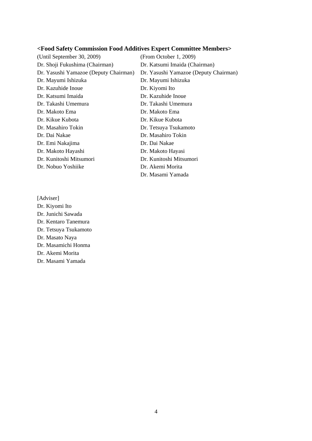## **<Food Safety Commission Food Additives Expert Committee Members>**

(Until September 30, 2009) Dr. Shoji Fukushima (Chairman) Dr. Yasushi Yamazoe (Deputy Chairman) Dr. Mayumi Ishizuka Dr. Kazuhide Inoue Dr. Katsumi Imaida Dr. Takashi Umemura Dr. Makoto Ema Dr. Kikue Kubota Dr. Masahiro Tokin Dr. Dai Nakae Dr. Emi Nakajima Dr. Makoto Hayashi Dr. Kunitoshi Mitsumori Dr. Nobuo Yoshiike (From October 1, 2009) Dr. Katsumi Imaida (Chairman) Dr. Yasushi Yamazoe (Deputy Chairman) Dr. Mayumi Ishizuka Dr. Kiyomi Ito Dr. Kazuhide Inoue Dr. Takashi Umemura Dr. Makoto Ema Dr. Kikue Kubota Dr. Tetsuya Tsukamoto Dr. Masahiro Tokin Dr. Dai Nakae Dr. Makoto Hayasi Dr. Kunitoshi Mitsumori Dr. Akemi Morita Dr. Masami Yamada

[Adviser] Dr. Kiyomi Ito Dr. Junichi Sawada Dr. Kentaro Tanemura Dr. Tetsuya Tsukamoto Dr. Masato Naya Dr. Masamichi Honma Dr. Akemi Morita Dr. Masami Yamada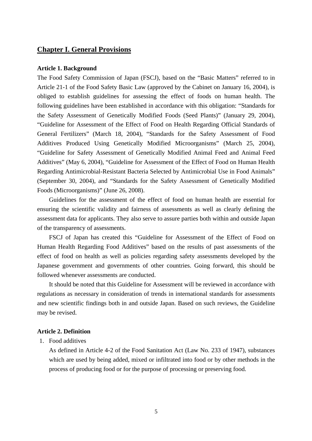## **Chapter I. General Provisions**

#### **Article 1. Background**

The Food Safety Commission of Japan (FSCJ), based on the "Basic Matters" referred to in Article 21-1 of the Food Safety Basic Law (approved by the Cabinet on January 16, 2004), is obliged to establish guidelines for assessing the effect of foods on human health. The following guidelines have been established in accordance with this obligation: "Standards for the Safety Assessment of Genetically Modified Foods (Seed Plants)" (January 29, 2004), "Guideline for Assessment of the Effect of Food on Health Regarding Official Standards of General Fertilizers" (March 18, 2004), "Standards for the Safety Assessment of Food Additives Produced Using Genetically Modified Microorganisms" (March 25, 2004), "Guideline for Safety Assessment of Genetically Modified Animal Feed and Animal Feed Additives" (May 6, 2004), "Guideline for Assessment of the Effect of Food on Human Health Regarding Antimicrobial-Resistant Bacteria Selected by Antimicrobial Use in Food Animals" (September 30, 2004), and "Standards for the Safety Assessment of Genetically Modified Foods (Microorganisms)" (June 26, 2008).

Guidelines for the assessment of the effect of food on human health are essential for ensuring the scientific validity and fairness of assessments as well as clearly defining the assessment data for applicants. They also serve to assure parties both within and outside Japan of the transparency of assessments.

FSCJ of Japan has created this "Guideline for Assessment of the Effect of Food on Human Health Regarding Food Additives" based on the results of past assessments of the effect of food on health as well as policies regarding safety assessments developed by the Japanese government and governments of other countries. Going forward, this should be followed whenever assessments are conducted.

It should be noted that this Guideline for Assessment will be reviewed in accordance with regulations as necessary in consideration of trends in international standards for assessments and new scientific findings both in and outside Japan. Based on such reviews, the Guideline may be revised.

## **Article 2. Definition**

1. Food additives

As defined in Article 4-2 of the Food Sanitation Act (Law No. 233 of 1947), substances which are used by being added, mixed or infiltrated into food or by other methods in the process of producing food or for the purpose of processing or preserving food.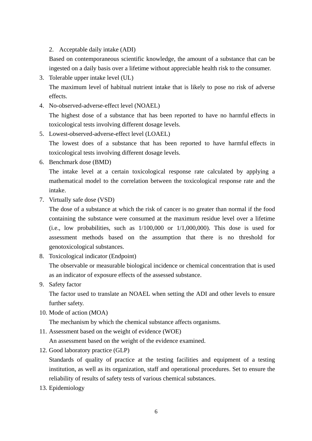## 2. Acceptable daily intake (ADI)

Based on contemporaneous scientific knowledge, the amount of a substance that can be ingested on a daily basis over a lifetime without appreciable health risk to the consumer.

- 3. Tolerable upper intake level (UL) The maximum level of habitual nutrient intake that is likely to pose no risk of adverse effects.
- 4. No-observed-adverse-effect level (NOAEL) The highest dose of a substance that has been reported to have no harmful effects in toxicological tests involving different dosage levels.
- 5. Lowest-observed-adverse-effect level (LOAEL) The lowest does of a substance that has been reported to have harmful effects in toxicological tests involving different dosage levels.
- 6. Benchmark dose (BMD)

The intake level at a certain toxicological response rate calculated by applying a mathematical model to the correlation between the toxicological response rate and the intake.

7. Virtually safe dose (VSD)

The dose of a substance at which the risk of cancer is no greater than normal if the food containing the substance were consumed at the maximum residue level over a lifetime (i.e., low probabilities, such as  $1/100,000$  or  $1/1,000,000$ ). This dose is used for assessment methods based on the assumption that there is no threshold for genotoxicological substances.

8. Toxicological indicator (Endpoint)

The observable or measurable biological incidence or chemical concentration that is used as an indicator of exposure effects of the assessed substance.

9. Safety factor

The factor used to translate an NOAEL when setting the ADI and other levels to ensure further safety.

10. Mode of action (MOA)

The mechanism by which the chemical substance affects organisms.

11. Assessment based on the weight of evidence (WOE)

An assessment based on the weight of the evidence examined.

12. Good laboratory practice (GLP)

Standards of quality of practice at the testing facilities and equipment of a testing institution, as well as its organization, staff and operational procedures. Set to ensure the reliability of results of safety tests of various chemical substances.

13. Epidemiology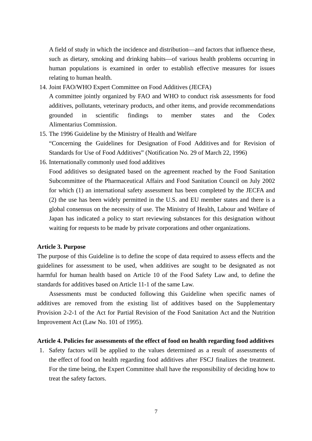A field of study in which the incidence and distribution—and factors that influence these, such as dietary, smoking and drinking habits—of various health problems occurring in human populations is examined in order to establish effective measures for issues relating to human health.

14. Joint FAO/WHO Expert Committee on Food Additives (JECFA)

A committee jointly organized by FAO and WHO to conduct risk assessments for food additives, pollutants, veterinary products, and other items, and provide recommendations grounded in scientific findings to member states and the Codex Alimentarius Commission.

15. The 1996 Guideline by the Ministry of Health and Welfare

"Concerning the Guidelines for Designation of Food Additives and for Revision of Standards for Use of Food Additives" (Notification No. 29 of March 22, 1996)

16. Internationally commonly used food additives

Food additives so designated based on the agreement reached by the Food Sanitation Subcommittee of the Pharmaceutical Affairs and Food Sanitation Council on July 2002 for which (1) an international safety assessment has been completed by the JECFA and (2) the use has been widely permitted in the U.S. and EU member states and there is a global consensus on the necessity of use. The Ministry of Health, Labour and Welfare of Japan has indicated a policy to start reviewing substances for this designation without waiting for requests to be made by private corporations and other organizations.

#### **Article 3. Purpose**

The purpose of this Guideline is to define the scope of data required to assess effects and the guidelines for assessment to be used, when additives are sought to be designated as not harmful for human health based on Article 10 of the Food Safety Law and, to define the standards for additives based on Article 11-1 of the same Law.

Assessments must be conducted following this Guideline when specific names of additives are removed from the existing list of additives based on the Supplementary Provision 2-2-1 of the Act for Partial Revision of the Food Sanitation Act and the Nutrition Improvement Act (Law No. 101 of 1995).

#### **Article 4. Policies for assessments of the effect of food on health regarding food additives**

1. Safety factors will be applied to the values determined as a result of assessments of the effect of food on health regarding food additives after FSCJ finalizes the treatment. For the time being, the Expert Committee shall have the responsibility of deciding how to treat the safety factors.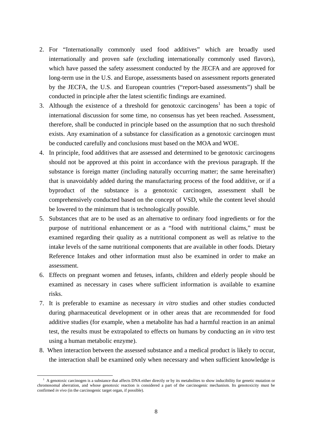- 2. For "Internationally commonly used food additives" which are broadly used internationally and proven safe (excluding internationally commonly used flavors), which have passed the safety assessment conducted by the JECFA and are approved for long-term use in the U.S. and Europe, assessments based on assessment reports generated by the JECFA, the U.S. and European countries ("report-based assessments") shall be conducted in principle after the latest scientific findings are examined.
- 3. Although the existence of a threshold for genotoxic carcinogens<sup>1</sup> has been a topic of international discussion for some time, no consensus has yet been reached. Assessment, therefore, shall be conducted in principle based on the assumption that no such threshold exists. Any examination of a substance for classification as a genotoxic carcinogen must be conducted carefully and conclusions must based on the MOA and WOE.
- 4. In principle, food additives that are assessed and determined to be genotoxic carcinogens should not be approved at this point in accordance with the previous paragraph. If the substance is foreign matter (including naturally occurring matter; the same hereinafter) that is unavoidably added during the manufacturing process of the food additive, or if a byproduct of the substance is a genotoxic carcinogen, assessment shall be comprehensively conducted based on the concept of VSD, while the content level should be lowered to the minimum that is technologically possible.
- 5. Substances that are to be used as an alternative to ordinary food ingredients or for the purpose of nutritional enhancement or as a "food with nutritional claims," must be examined regarding their quality as a nutritional component as well as relative to the intake levels of the same nutritional components that are available in other foods. Dietary Reference Intakes and other information must also be examined in order to make an assessment.
- 6. Effects on pregnant women and fetuses, infants, children and elderly people should be examined as necessary in cases where sufficient information is available to examine risks.
- 7. It is preferable to examine as necessary *in vitro* studies and other studies conducted during pharmaceutical development or in other areas that are recommended for food additive studies (for example, when a metabolite has had a harmful reaction in an animal test, the results must be extrapolated to effects on humans by conducting an *in vitro* test using a human metabolic enzyme).
- 8. When interaction between the assessed substance and a medical product is likely to occur, the interaction shall be examined only when necessary and when sufficient knowledge is

 $\overline{a}$ 

<sup>&</sup>lt;sup>1</sup> A genotoxic carcinogen is a substance that affects DNA either directly or by its metabolites to show inducibility for genetic mutation or chromosomal aberration, and whose genotoxic reaction is considered a part of the carcinogenic mechanism. Its genotoxicity must be confirmed *in vivo* (in the carcinogenic target organ, if possible).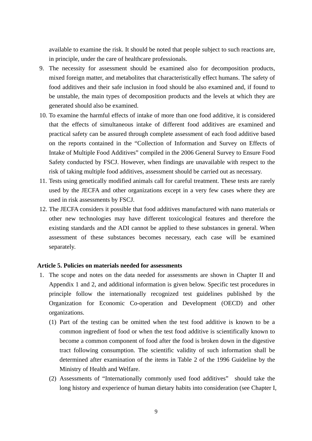available to examine the risk. It should be noted that people subject to such reactions are, in principle, under the care of healthcare professionals.

- 9. The necessity for assessment should be examined also for decomposition products, mixed foreign matter, and metabolites that characteristically effect humans. The safety of food additives and their safe inclusion in food should be also examined and, if found to be unstable, the main types of decomposition products and the levels at which they are generated should also be examined.
- 10. To examine the harmful effects of intake of more than one food additive, it is considered that the effects of simultaneous intake of different food additives are examined and practical safety can be assured through complete assessment of each food additive based on the reports contained in the "Collection of Information and Survey on Effects of Intake of Multiple Food Additives" compiled in the 2006 General Survey to Ensure Food Safety conducted by FSCJ. However, when findings are unavailable with respect to the risk of taking multiple food additives, assessment should be carried out as necessary.
- 11. Tests using genetically modified animals call for careful treatment. These tests are rarely used by the JECFA and other organizations except in a very few cases where they are used in risk assessments by FSCJ.
- 12. The JECFA considers it possible that food additives manufactured with nano materials or other new technologies may have different toxicological features and therefore the existing standards and the ADI cannot be applied to these substances in general. When assessment of these substances becomes necessary, each case will be examined separately.

## **Article 5. Policies on materials needed for assessments**

- 1. The scope and notes on the data needed for assessments are shown in Chapter II and Appendix 1 and 2, and additional information is given below. Specific test procedures in principle follow the internationally recognized test guidelines published by the Organization for Economic Co-operation and Development (OECD) and other organizations.
	- (1) Part of the testing can be omitted when the test food additive is known to be a common ingredient of food or when the test food additive is scientifically known to become a common component of food after the food is broken down in the digestive tract following consumption. The scientific validity of such information shall be determined after examination of the items in Table 2 of the 1996 Guideline by the Ministry of Health and Welfare.
	- (2) Assessments of "Internationally commonly used food additives" should take the long history and experience of human dietary habits into consideration (see Chapter I,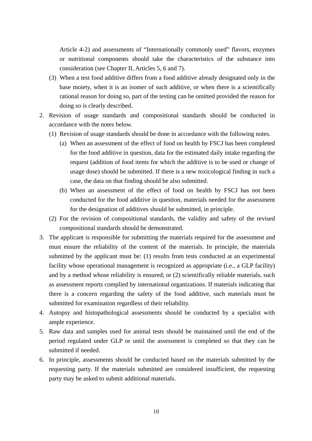Article 4-2) and assessments of "Internationally commonly used" flavors, enzymes or nutritional components should take the characteristics of the substance into consideration (see Chapter II, Articles 5, 6 and 7).

- (3) When a test food additive differs from a food additive already designated only in the base moiety, when it is an isomer of such additive, or when there is a scientifically rational reason for doing so, part of the testing can be omitted provided the reason for doing so is clearly described.
- 2. Revision of usage standards and compositional standards should be conducted in accordance with the notes below.
	- (1) Revision of usage standards should be done in accordance with the following notes.
		- (a) When an assessment of the effect of food on health by FSCJ has been completed for the food additive in question, data for the estimated daily intake regarding the request (addition of food items for which the additive is to be used or change of usage dose) should be submitted. If there is a new toxicological finding in such a case, the data on that finding should be also submitted.
		- (b) When an assessment of the effect of food on health by FSCJ has not been conducted for the food additive in question, materials needed for the assessment for the designation of additives should be submitted, in principle.
	- (2) For the revision of compositional standards, the validity and safety of the revised compositional standards should be demonstrated.
- 3. The applicant is responsible for submitting the materials required for the assessment and must ensure the reliability of the content of the materials. In principle, the materials submitted by the applicant must be: (1) results from tests conducted at an experimental facility whose operational management is recognized as appropriate (i.e., a GLP facility) and by a method whose reliability is ensured; or (2) scientifically reliable materials, such as assessment reports complied by international organizations. If materials indicating that there is a concern regarding the safety of the food additive, such materials must be submitted for examination regardless of their reliability.
- 4. Autopsy and histopathological assessments should be conducted by a specialist with ample experience.
- 5. Raw data and samples used for animal tests should be maintained until the end of the period regulated under GLP or until the assessment is completed so that they can be submitted if needed.
- 6. In principle, assessments should be conducted based on the materials submitted by the requesting party. If the materials submitted are considered insufficient, the requesting party may be asked to submit additional materials.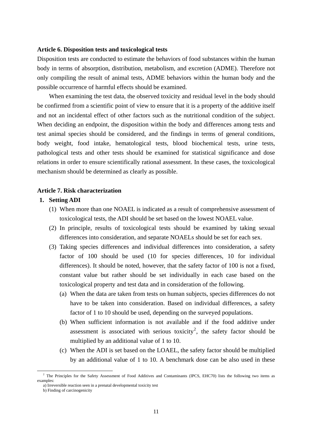#### **Article 6. Disposition tests and toxicological tests**

Disposition tests are conducted to estimate the behaviors of food substances within the human body in terms of absorption, distribution, metabolism, and excretion (ADME). Therefore not only compiling the result of animal tests, ADME behaviors within the human body and the possible occurrence of harmful effects should be examined.

When examining the test data, the observed toxicity and residual level in the body should be confirmed from a scientific point of view to ensure that it is a property of the additive itself and not an incidental effect of other factors such as the nutritional condition of the subject. When deciding an endpoint, the disposition within the body and differences among tests and test animal species should be considered, and the findings in terms of general conditions, body weight, food intake, hematological tests, blood biochemical tests, urine tests, pathological tests and other tests should be examined for statistical significance and dose relations in order to ensure scientifically rational assessment. In these cases, the toxicological mechanism should be determined as clearly as possible.

#### **Article 7. Risk characterization**

## **1. Setting ADI**

- (1) When more than one NOAEL is indicated as a result of comprehensive assessment of toxicological tests, the ADI should be set based on the lowest NOAEL value.
- (2) In principle, results of toxicological tests should be examined by taking sexual differences into consideration, and separate NOAELs should be set for each sex.
- (3) Taking species differences and individual differences into consideration, a safety factor of 100 should be used (10 for species differences, 10 for individual differences). It should be noted, however, that the safety factor of 100 is not a fixed, constant value but rather should be set individually in each case based on the toxicological property and test data and in consideration of the following.
	- (a) When the data are taken from tests on human subjects, species differences do not have to be taken into consideration. Based on individual differences, a safety factor of 1 to 10 should be used, depending on the surveyed populations.
	- (b) When sufficient information is not available and if the food additive under assessment is associated with serious toxicity<sup>2</sup>, the safety factor should be multiplied by an additional value of 1 to 10.
	- (c) When the ADI is set based on the LOAEL, the safety factor should be multiplied by an additional value of 1 to 10. A benchmark dose can be also used in these

<sup>&</sup>lt;sup>2</sup> The Principles for the Safety Assessment of Food Additives and Contaminants (IPCS, EHC70) lists the following two items as examples:

a) Irreversible reaction seen in a prenatal developmental toxicity test

b) Finding of carcinogenicity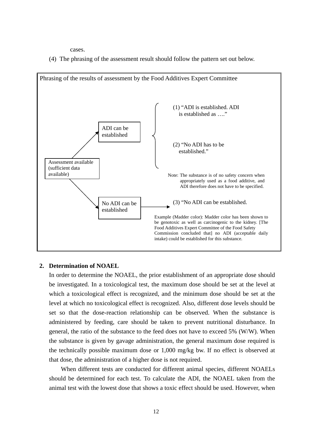cases.

(4) The phrasing of the assessment result should follow the pattern set out below.



#### **2. Determination of NOAEL**

In order to determine the NOAEL, the prior establishment of an appropriate dose should be investigated. In a toxicological test, the maximum dose should be set at the level at which a toxicological effect is recognized, and the minimum dose should be set at the level at which no toxicological effect is recognized. Also, different dose levels should be set so that the dose-reaction relationship can be observed. When the substance is administered by feeding, care should be taken to prevent nutritional disturbance. In general, the ratio of the substance to the feed does not have to exceed 5% (W/W). When the substance is given by gavage administration, the general maximum dose required is the technically possible maximum dose or 1,000 mg/kg bw. If no effect is observed at that dose, the administration of a higher dose is not required.

When different tests are conducted for different animal species, different NOAELs should be determined for each test. To calculate the ADI, the NOAEL taken from the animal test with the lowest dose that shows a toxic effect should be used. However, when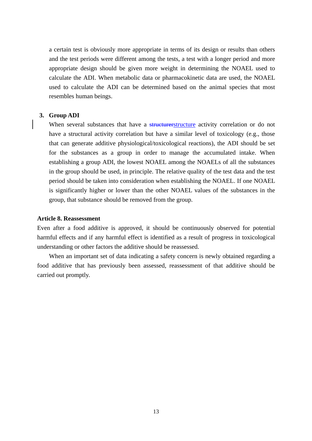a certain test is obviously more appropriate in terms of its design or results than others and the test periods were different among the tests, a test with a longer period and more appropriate design should be given more weight in determining the NOAEL used to calculate the ADI. When metabolic data or pharmacokinetic data are used, the NOAEL used to calculate the ADI can be determined based on the animal species that most resembles human beings.

## **3. Group ADI**

When several substances that have a structurerstructure activity correlation or do not have a structural activity correlation but have a similar level of toxicology (e.g., those that can generate additive physiological/toxicological reactions), the ADI should be set for the substances as a group in order to manage the accumulated intake. When establishing a group ADI, the lowest NOAEL among the NOAELs of all the substances in the group should be used, in principle. The relative quality of the test data and the test period should be taken into consideration when establishing the NOAEL. If one NOAEL is significantly higher or lower than the other NOAEL values of the substances in the group, that substance should be removed from the group.

#### **Article 8. Reassessment**

Even after a food additive is approved, it should be continuously observed for potential harmful effects and if any harmful effect is identified as a result of progress in toxicological understanding or other factors the additive should be reassessed.

When an important set of data indicating a safety concern is newly obtained regarding a food additive that has previously been assessed, reassessment of that additive should be carried out promptly.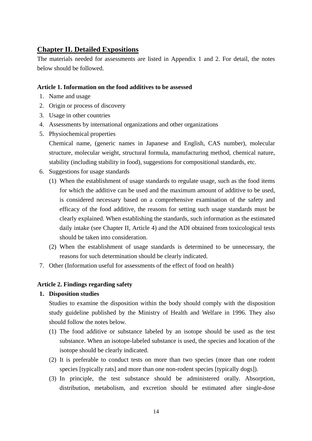## **Chapter II. Detailed Expositions**

The materials needed for assessments are listed in Appendix 1 and 2. For detail, the notes below should be followed.

## **Article 1. Information on the food additives to be assessed**

- 1. Name and usage
- 2. Origin or process of discovery
- 3. Usage in other countries
- 4. Assessments by international organizations and other organizations
- 5. Physiochemical properties

Chemical name, (generic names in Japanese and English, CAS number), molecular structure, molecular weight, structural formula, manufacturing method, chemical nature, stability (including stability in food), suggestions for compositional standards, etc.

- 6. Suggestions for usage standards
	- (1) When the establishment of usage standards to regulate usage, such as the food items for which the additive can be used and the maximum amount of additive to be used, is considered necessary based on a comprehensive examination of the safety and efficacy of the food additive, the reasons for setting such usage standards must be clearly explained. When establishing the standards, such information as the estimated daily intake (see Chapter II, Article 4) and the ADI obtained from toxicological tests should be taken into consideration.
	- (2) When the establishment of usage standards is determined to be unnecessary, the reasons for such determination should be clearly indicated.
- 7. Other (Information useful for assessments of the effect of food on health)

## **Article 2. Findings regarding safety**

## **1. Disposition studies**

Studies to examine the disposition within the body should comply with the disposition study guideline published by the Ministry of Health and Welfare in 1996. They also should follow the notes below.

- (1) The food additive or substance labeled by an isotope should be used as the test substance. When an isotope-labeled substance is used, the species and location of the isotope should be clearly indicated.
- (2) It is preferable to conduct tests on more than two species (more than one rodent species [typically rats] and more than one non-rodent species [typically dogs]).
- (3) In principle, the test substance should be administered orally. Absorption, distribution, metabolism, and excretion should be estimated after single-dose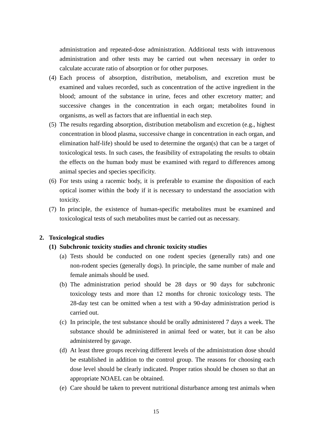administration and repeated-dose administration. Additional tests with intravenous administration and other tests may be carried out when necessary in order to calculate accurate ratio of absorption or for other purposes.

- (4) Each process of absorption, distribution, metabolism, and excretion must be examined and values recorded, such as concentration of the active ingredient in the blood; amount of the substance in urine, feces and other excretory matter; and successive changes in the concentration in each organ; metabolites found in organisms, as well as factors that are influential in each step.
- (5) The results regarding absorption, distribution metabolism and excretion (e.g., highest concentration in blood plasma, successive change in concentration in each organ, and elimination half-life) should be used to determine the organ(s) that can be a target of toxicological tests. In such cases, the feasibility of extrapolating the results to obtain the effects on the human body must be examined with regard to differences among animal species and species specificity.
- (6) For tests using a racemic body, it is preferable to examine the disposition of each optical isomer within the body if it is necessary to understand the association with toxicity.
- (7) In principle, the existence of human-specific metabolites must be examined and toxicological tests of such metabolites must be carried out as necessary.

## **2. Toxicological studies**

## **(1) Subchronic toxicity studies and chronic toxicity studies**

- (a) Tests should be conducted on one rodent species (generally rats) and one non-rodent species (generally dogs). In principle, the same number of male and female animals should be used.
- (b) The administration period should be 28 days or 90 days for subchronic toxicology tests and more than 12 months for chronic toxicology tests. The 28-day test can be omitted when a test with a 90-day administration period is carried out.
- (c) In principle, the test substance should be orally administered 7 days a week. The substance should be administered in animal feed or water, but it can be also administered by gavage.
- (d) At least three groups receiving different levels of the administration dose should be established in addition to the control group. The reasons for choosing each dose level should be clearly indicated. Proper ratios should be chosen so that an appropriate NOAEL can be obtained.
- (e) Care should be taken to prevent nutritional disturbance among test animals when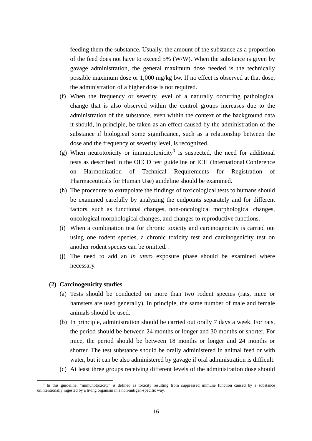feeding them the substance. Usually, the amount of the substance as a proportion of the feed does not have to exceed 5% (W/W). When the substance is given by gavage administration, the general maximum dose needed is the technically possible maximum dose or 1,000 mg/kg bw. If no effect is observed at that dose, the administration of a higher dose is not required.

- (f) When the frequency or severity level of a naturally occurring pathological change that is also observed within the control groups increases due to the administration of the substance, even within the context of the background data it should, in principle, be taken as an effect caused by the administration of the substance if biological some significance, such as a relationship between the dose and the frequency or severity level, is recognized.
- (g) When neurotoxicity or immunotoxicity<sup>3</sup> is suspected, the need for additional tests as described in the OECD test guideline or ICH (International Conference on Harmonization of Technical Requirements for Registration of Pharmaceuticals for Human Use) guideline should be examined.
- (h) The procedure to extrapolate the findings of toxicological tests to humans should be examined carefully by analyzing the endpoints separately and for different factors, such as functional changes, non-oncological morphological changes, oncological morphological changes, and changes to reproductive functions.
- (i) When a combination test for chronic toxicity and carcinogenicity is carried out using one rodent species, a chronic toxicity test and carcinogenicity test on another rodent species can be omitted. .
- (j) The need to add an *in utero* exposure phase should be examined where necessary.

## **(2) Carcinogenicity studies**

- (a) Tests should be conducted on more than two rodent species (rats, mice or hamsters are used generally). In principle, the same number of male and female animals should be used.
- (b) In principle, administration should be carried out orally 7 days a week. For rats, the period should be between 24 months or longer and 30 months or shorter. For mice, the period should be between 18 months or longer and 24 months or shorter. The test substance should be orally administered in animal feed or with water, but it can be also administered by gavage if oral administration is difficult.
- (c) At least three groups receiving different levels of the administration dose should

<sup>&</sup>lt;sup>3</sup> In this guideline, "immunotoxicity" is defined as toxicity resulting from suppressed immune function caused by a substance unintentionally ingested by a living organism in a non-antigen-specific way.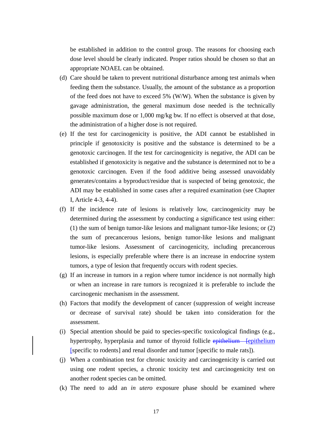be established in addition to the control group. The reasons for choosing each dose level should be clearly indicated. Proper ratios should be chosen so that an appropriate NOAEL can be obtained.

- (d) Care should be taken to prevent nutritional disturbance among test animals when feeding them the substance. Usually, the amount of the substance as a proportion of the feed does not have to exceed 5% (W/W). When the substance is given by gavage administration, the general maximum dose needed is the technically possible maximum dose or 1,000 mg/kg bw. If no effect is observed at that dose, the administration of a higher dose is not required.
- (e) If the test for carcinogenicity is positive, the ADI cannot be established in principle if genotoxicity is positive and the substance is determined to be a genotoxic carcinogen. If the test for carcinogenicity is negative, the ADI can be established if genotoxicity is negative and the substance is determined not to be a genotoxic carcinogen. Even if the food additive being assessed unavoidably generates/contains a byproduct/residue that is suspected of being genotoxic, the ADI may be established in some cases after a required examination (see Chapter I, Article 4-3, 4-4).
- (f) If the incidence rate of lesions is relatively low, carcinogenicity may be determined during the assessment by conducting a significance test using either: (1) the sum of benign tumor-like lesions and malignant tumor-like lesions; or (2) the sum of precancerous lesions, benign tumor-like lesions and malignant tumor-like lesions. Assessment of carcinogenicity, including precancerous lesions, is especially preferable where there is an increase in endocrine system tumors, a type of lesion that frequently occurs with rodent species.
- (g) If an increase in tumors in a region where tumor incidence is not normally high or when an increase in rare tumors is recognized it is preferable to include the carcinogenic mechanism in the assessment.
- (h) Factors that modify the development of cancer (suppression of weight increase or decrease of survival rate) should be taken into consideration for the assessment.
- (i) Special attention should be paid to species-specific toxicological findings (e.g., hypertrophy, hyperplasia and tumor of thyroid follicle epithelium [epithelium] [specific to rodents] and renal disorder and tumor [specific to male rats]).
- (j) When a combination test for chronic toxicity and carcinogenicity is carried out using one rodent species, a chronic toxicity test and carcinogenicity test on another rodent species can be omitted.
- (k) The need to add an *in utero* exposure phase should be examined where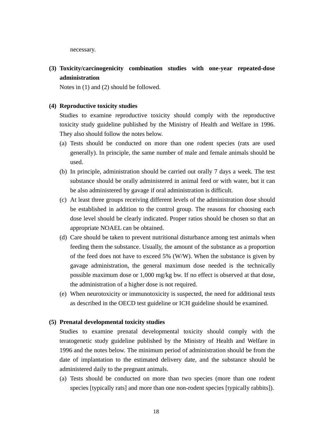necessary.

**(3) Toxicity/carcinogenicity combination studies with one-year repeated-dose administration** 

Notes in (1) and (2) should be followed.

## **(4) Reproductive toxicity studies**

Studies to examine reproductive toxicity should comply with the reproductive toxicity study guideline published by the Ministry of Health and Welfare in 1996. They also should follow the notes below.

- (a) Tests should be conducted on more than one rodent species (rats are used generally). In principle, the same number of male and female animals should be used.
- (b) In principle, administration should be carried out orally 7 days a week. The test substance should be orally administered in animal feed or with water, but it can be also administered by gavage if oral administration is difficult.
- (c) At least three groups receiving different levels of the administration dose should be established in addition to the control group. The reasons for choosing each dose level should be clearly indicated. Proper ratios should be chosen so that an appropriate NOAEL can be obtained.
- (d) Care should be taken to prevent nutritional disturbance among test animals when feeding them the substance. Usually, the amount of the substance as a proportion of the feed does not have to exceed 5% (W/W). When the substance is given by gavage administration, the general maximum dose needed is the technically possible maximum dose or 1,000 mg/kg bw. If no effect is observed at that dose, the administration of a higher dose is not required.
- (e) When neurotoxicity or immunotoxicity is suspected, the need for additional tests as described in the OECD test guideline or ICH guideline should be examined.

#### **(5) Prenatal developmental toxicity studies**

Studies to examine prenatal developmental toxicity should comply with the teratogenetic study guideline published by the Ministry of Health and Welfare in 1996 and the notes below. The minimum period of administration should be from the date of implantation to the estimated delivery date, and the substance should be administered daily to the pregnant animals.

(a) Tests should be conducted on more than two species (more than one rodent species [typically rats] and more than one non-rodent species [typically rabbits]).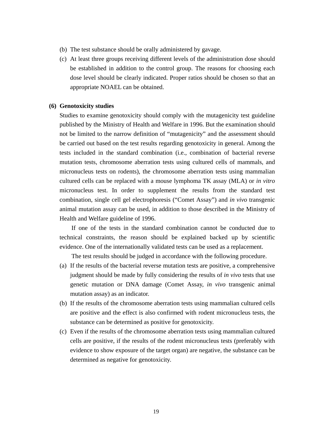- (b) The test substance should be orally administered by gavage.
- (c) At least three groups receiving different levels of the administration dose should be established in addition to the control group. The reasons for choosing each dose level should be clearly indicated. Proper ratios should be chosen so that an appropriate NOAEL can be obtained.

#### **(6) Genotoxicity studies**

Studies to examine genotoxicity should comply with the mutagenicity test guideline published by the Ministry of Health and Welfare in 1996. But the examination should not be limited to the narrow definition of "mutagenicity" and the assessment should be carried out based on the test results regarding genotoxicity in general. Among the tests included in the standard combination (i.e., combination of bacterial reverse mutation tests, chromosome aberration tests using cultured cells of mammals, and micronucleus tests on rodents), the chromosome aberration tests using mammalian cultured cells can be replaced with a mouse lymphoma TK assay (MLA) or *in vitro* micronucleus test. In order to supplement the results from the standard test combination, single cell gel electrophoresis ("Comet Assay") and *in vivo* transgenic animal mutation assay can be used, in addition to those described in the Ministry of Health and Welfare guideline of 1996.

If one of the tests in the standard combination cannot be conducted due to technical constraints, the reason should be explained backed up by scientific evidence. One of the internationally validated tests can be used as a replacement.

The test results should be judged in accordance with the following procedure.

- (a) If the results of the bacterial reverse mutation tests are positive, a comprehensive judgment should be made by fully considering the results of *in vivo* tests that use genetic mutation or DNA damage (Comet Assay, *in vivo* transgenic animal mutation assay) as an indicator.
- (b) If the results of the chromosome aberration tests using mammalian cultured cells are positive and the effect is also confirmed with rodent micronucleus tests, the substance can be determined as positive for genotoxicity.
- (c) Even if the results of the chromosome aberration tests using mammalian cultured cells are positive, if the results of the rodent micronucleus tests (preferably with evidence to show exposure of the target organ) are negative, the substance can be determined as negative for genotoxicity.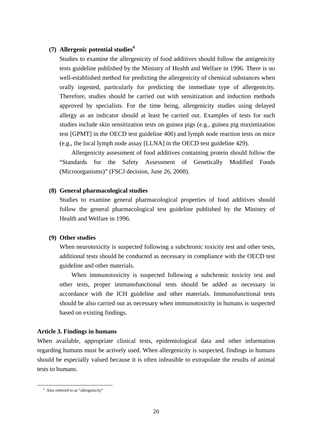## **(7) Allergenic potential studies<sup>4</sup>**

Studies to examine the allergenicity of food additives should follow the antigenicity tests guideline published by the Ministry of Health and Welfare in 1996. There is no well-established method for predicting the allergenicity of chemical substances when orally ingested, particularly for predicting the immediate type of allergenicity. Therefore, studies should be carried out with sensitization and induction methods approved by specialists. For the time being, allergenicity studies using delayed allergy as an indicator should at least be carried out. Examples of tests for such studies include skin sensitization tests on guinea pigs (e.g., guinea pig maximization test [GPMT] in the OECD test guideline 406) and lymph node reaction tests on mice (e.g., the local lymph node assay [LLNA] in the OECD test guideline 429).

Allergenicity assessment of food additives containing protein should follow the "Standards for the Safety Assessment of Genetically Modified Foods (Microorganisms)" (FSCJ decision, June 26, 2008).

## **(8) General pharmacological studies**

Studies to examine general pharmacological properties of food additives should follow the general pharmacological test guideline published by the Ministry of Health and Welfare in 1996.

## **(9) Other studies**

When neurotoxicity is suspected following a subchronic toxicity test and other tests, additional tests should be conducted as necessary in compliance with the OECD test guideline and other materials.

When immunotoxicity is suspected following a subchronic toxicity test and other tests, proper immunofunctional tests should be added as necessary in accordance with the ICH guideline and other materials. Immunofunctional tests should be also carried out as necessary when immunotoxicity in humans is suspected based on existing findings.

## **Article 3. Findings in humans**

When available, appropriate clinical tests, epidemiological data and other information regarding humans must be actively used. When allergenicity is suspected, findings in humans should be especially valued because it is often infeasible to extrapolate the results of animal tests to humans.

 $\overline{a}$ 

<sup>4</sup> Also referred to as "allergenicity"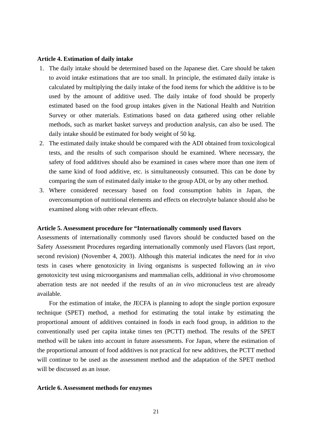#### **Article 4. Estimation of daily intake**

- 1. The daily intake should be determined based on the Japanese diet. Care should be taken to avoid intake estimations that are too small. In principle, the estimated daily intake is calculated by multiplying the daily intake of the food items for which the additive is to be used by the amount of additive used. The daily intake of food should be properly estimated based on the food group intakes given in the National Health and Nutrition Survey or other materials. Estimations based on data gathered using other reliable methods, such as market basket surveys and production analysis, can also be used. The daily intake should be estimated for body weight of 50 kg.
- 2. The estimated daily intake should be compared with the ADI obtained from toxicological tests, and the results of such comparison should be examined. Where necessary, the safety of food additives should also be examined in cases where more than one item of the same kind of food additive, etc. is simultaneously consumed. This can be done by comparing the sum of estimated daily intake to the group ADI, or by any other method.
- 3. Where considered necessary based on food consumption habits in Japan, the overconsumption of nutritional elements and effects on electrolyte balance should also be examined along with other relevant effects.

#### **Article 5. Assessment procedure for "Internationally commonly used flavors**

Assessments of internationally commonly used flavors should be conducted based on the Safety Assessment Procedures regarding internationally commonly used Flavors (last report, second revision) (November 4, 2003). Although this material indicates the need for *in vivo* tests in cases where genotoxicity in living organisms is suspected following an *in vivo*  genotoxicity test using microorganisms and mammalian cells, additional *in vivo* chromosome aberration tests are not needed if the results of an *in vivo* micronucleus test are already available.

For the estimation of intake, the JECFA is planning to adopt the single portion exposure technique (SPET) method, a method for estimating the total intake by estimating the proportional amount of additives contained in foods in each food group, in addition to the conventionally used per capita intake times ten (PCTT) method. The results of the SPET method will be taken into account in future assessments. For Japan, where the estimation of the proportional amount of food additives is not practical for new additives, the PCTT method will continue to be used as the assessment method and the adaptation of the SPET method will be discussed as an issue.

#### **Article 6. Assessment methods for enzymes**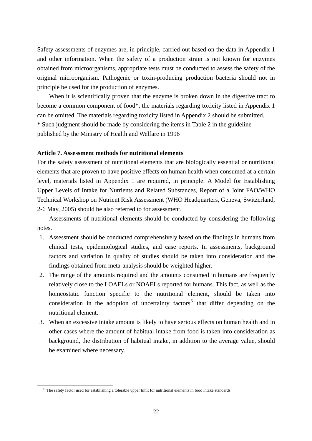Safety assessments of enzymes are, in principle, carried out based on the data in Appendix 1 and other information. When the safety of a production strain is not known for enzymes obtained from microorganisms, appropriate tests must be conducted to assess the safety of the original microorganism. Pathogenic or toxin-producing production bacteria should not in principle be used for the production of enzymes.

When it is scientifically proven that the enzyme is broken down in the digestive tract to become a common component of food\*, the materials regarding toxicity listed in Appendix 1 can be omitted. The materials regarding toxicity listed in Appendix 2 should be submitted. \* Such judgment should be made by considering the items in Table 2 in the guideline published by the Ministry of Health and Welfare in 1996

## **Article 7. Assessment methods for nutritional elements**

For the safety assessment of nutritional elements that are biologically essential or nutritional elements that are proven to have positive effects on human health when consumed at a certain level, materials listed in Appendix 1 are required, in principle. A Model for Establishing Upper Levels of Intake for Nutrients and Related Substances, Report of a Joint FAO/WHO Technical Workshop on Nutrient Risk Assessment (WHO Headquarters, Geneva, Switzerland, 2-6 May, 2005) should be also referred to for assessment.

Assessments of nutritional elements should be conducted by considering the following notes.

- 1. Assessment should be conducted comprehensively based on the findings in humans from clinical tests, epidemiological studies, and case reports. In assessments, background factors and variation in quality of studies should be taken into consideration and the findings obtained from meta-analysis should be weighted higher.
- 2. The range of the amounts required and the amounts consumed in humans are frequently relatively close to the LOAELs or NOAELs reported for humans. This fact, as well as the homeostatic function specific to the nutritional element, should be taken into consideration in the adoption of uncertainty factors<sup>5</sup> that differ depending on the nutritional element.
- 3. When an excessive intake amount is likely to have serious effects on human health and in other cases where the amount of habitual intake from food is taken into consideration as background, the distribution of habitual intake, in addition to the average value, should be examined where necessary.

 $\overline{a}$ 

 $5$  The safety factor used for establishing a tolerable upper limit for nutritional elements in food intake standards.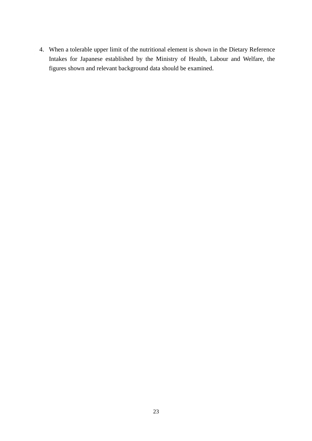4. When a tolerable upper limit of the nutritional element is shown in the Dietary Reference Intakes for Japanese established by the Ministry of Health, Labour and Welfare, the figures shown and relevant background data should be examined.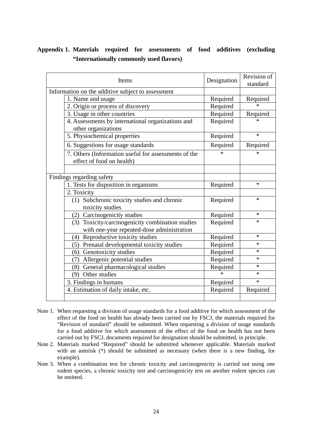# **Appendix 1. Materials required for assessments of food additives (excluding "Internationally commonly used flavors)**

| Items |                                                                                   | Designation | Revision of<br>standard |
|-------|-----------------------------------------------------------------------------------|-------------|-------------------------|
|       | Information on the additive subject to assessment                                 |             |                         |
|       | 1. Name and usage                                                                 | Required    | Required                |
|       | 2. Origin or process of discovery                                                 | Required    |                         |
|       | 3. Usage in other countries                                                       | Required    | Required                |
|       | 4. Assessments by international organizations and<br>other organizations          | Required    | $\ast$                  |
|       | 5. Physiochemical properties                                                      | Required    | $\ast$                  |
|       | 6. Suggestions for usage standards                                                | Required    | Required                |
|       | 7. Others (Information useful for assessments of the<br>effect of food on health) | $\ast$      | $\ast$                  |
|       |                                                                                   |             |                         |
|       | Findings regarding safety                                                         |             |                         |
|       | 1. Tests for disposition in organisms                                             | Required    | $\ast$                  |
|       | 2. Toxicity                                                                       |             |                         |
|       | (1) Subchronic toxicity studies and chronic<br>toxicity studies                   | Required    | $\ast$                  |
|       | (2) Carcinogenicity studies                                                       | Required    | $\ast$                  |
|       | (3) Toxicity/carcinogenicity combination studies                                  | Required    | $\ast$                  |
|       | with one-year repeated-dose administration                                        |             |                         |
|       | Reproductive toxicity studies<br>(4)                                              | Required    | $\ast$                  |
|       | (5) Prenatal developmental toxicity studies                                       | Required    | $\ast$                  |
|       | (6) Genotoxicity studies                                                          | Required    | $\ast$                  |
|       | Allergenic potential studies<br>(7)                                               | Required    | $\ast$                  |
|       | (8) General pharmacological studies                                               | Required    | $\ast$                  |
|       | Other studies<br>(9)                                                              | $\ast$      | $\ast$                  |
|       | 3. Findings in humans                                                             | Required    | $\ast$                  |
|       | 4. Estimation of daily intake, etc.                                               | Required    | Required                |
|       |                                                                                   |             |                         |

- Note 1. When requesting a division of usage standards for a food additive for which assessment of the effect of the food on health has already been carried out by FSCJ, the materials required for "Revision of standard" should be submitted. When requesting a division of usage standards for a food additive for which assessment of the effect of the food on health has not been carried out by FSCJ, documents required for designation should be submitted, in principle.
- Note 2. Materials marked "Required" should be submitted whenever applicable. Materials marked with an asterisk (\*) should be submitted as necessary (when there is a new finding, for example).
- Note 3. When a combination test for chronic toxicity and carcinogenicity is carried out using one rodent species, a chronic toxicity test and carcinogenicity test on another rodent species can be omitted.